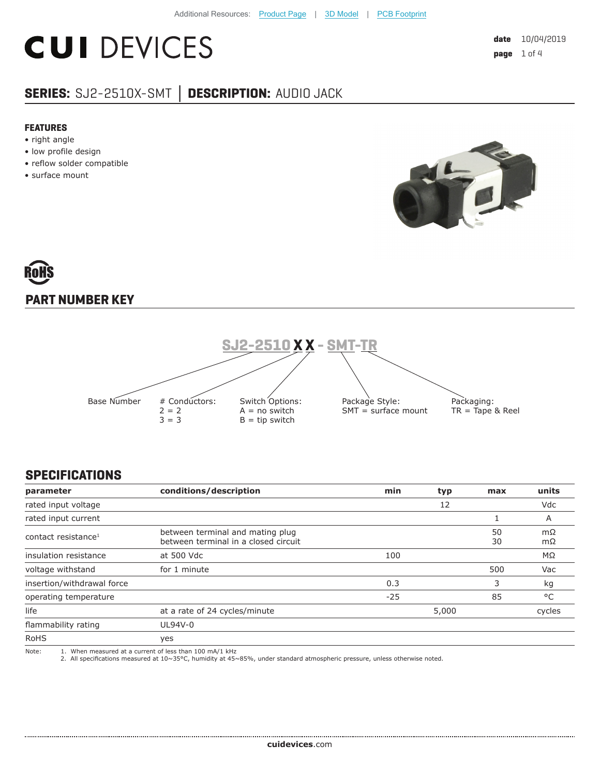## **CUI DEVICES**

### **SERIES:** SJ2-2510X-SMT **│ DESCRIPTION:** AUDIO JACK

#### **FEATURES**

- right angle
- low profile design
- reflow solder compatible
- surface mount



# **PART NUMBER KEY**



#### **SPECIFICATIONS**

| parameter                       | conditions/description                                                                                                                                                                 | min   | typ   | max      | units    |
|---------------------------------|----------------------------------------------------------------------------------------------------------------------------------------------------------------------------------------|-------|-------|----------|----------|
| rated input voltage             |                                                                                                                                                                                        |       | 12    |          | Vdc      |
| rated input current             |                                                                                                                                                                                        |       |       |          | A        |
| contact resistance <sup>1</sup> | between terminal and mating plug<br>between terminal in a closed circuit                                                                                                               |       |       | 50<br>30 | mΩ<br>mΩ |
| insulation resistance           | at 500 Vdc                                                                                                                                                                             | 100   |       |          | MΩ       |
| voltage withstand               | for 1 minute                                                                                                                                                                           |       |       | 500      | Vac      |
| insertion/withdrawal force      |                                                                                                                                                                                        | 0.3   |       | 3        | kg       |
| operating temperature           |                                                                                                                                                                                        | $-25$ |       | 85       | °C       |
| life                            | at a rate of 24 cycles/minute                                                                                                                                                          |       | 5,000 |          | cycles   |
| flammability rating             | UL94V-0                                                                                                                                                                                |       |       |          |          |
| <b>RoHS</b>                     | yes                                                                                                                                                                                    |       |       |          |          |
| Note:                           | 1. When measured at a current of less than 100 mA/1 kHz<br>2. All specifications measured at 10~35°C, humidity at 45~85%, under standard atmospheric pressure, unless otherwise noted. |       |       |          |          |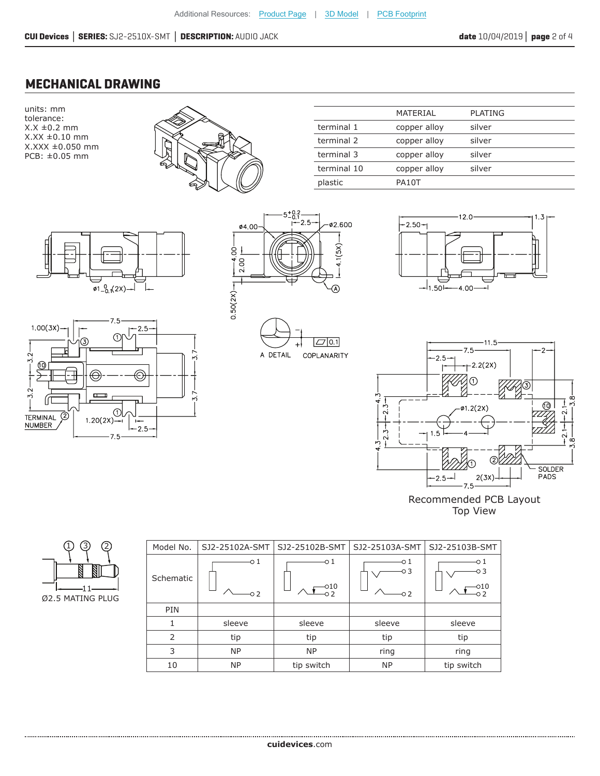#### **MECHANICAL DRAWING**

units: mm tolerance:  $X.X \pm 0.2$  mm X.XX ±0.10 mm X.XXX ±0.050 mm PCB: ±0.05 mm



|             | MATERIAL     | <b>PLATING</b> |
|-------------|--------------|----------------|
| terminal 1  | copper alloy | silver         |
| terminal 2  | copper alloy | silver         |
| terminal 3  | copper alloy | silver         |
| terminal 10 | copper alloy | silver         |
| plastic     | PA10T        |                |













Top View



| Model No.      | SJ2-25102A-SMT | SJ2-25102B-SMT         | SJ2-25103A-SMT          | SJ2-25103B-SMT |
|----------------|----------------|------------------------|-------------------------|----------------|
| Schematic      | -0 1<br>$-0.2$ | -01<br>$-010$<br>$-02$ | о1<br>-03<br>$-0.2$     | -01<br>-03     |
| PIN            |                |                        |                         |                |
| 1              | sleeve         | sleeve                 | sleeve                  | sleeve         |
| $\overline{2}$ | tip            | tip                    | tip                     | tip            |
| 3              | <b>NP</b>      | <b>NP</b>              | ring                    | ring           |
| 10             | <b>NP</b>      | tip switch             | <b>NP</b><br>tip switch |                |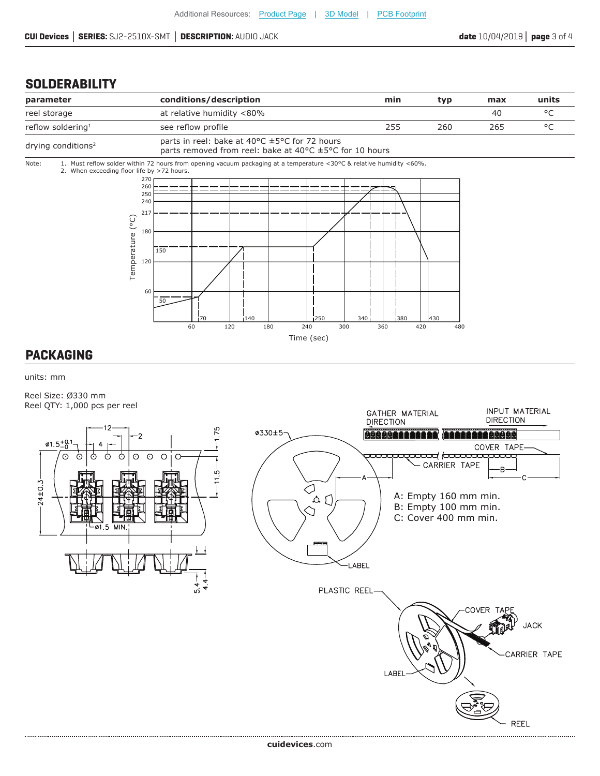#### **SOLDERABILITY**



#### **PACKAGING**

units: mm

Reel Size: Ø330 mm Reel QTY: 1,000 pcs per reel